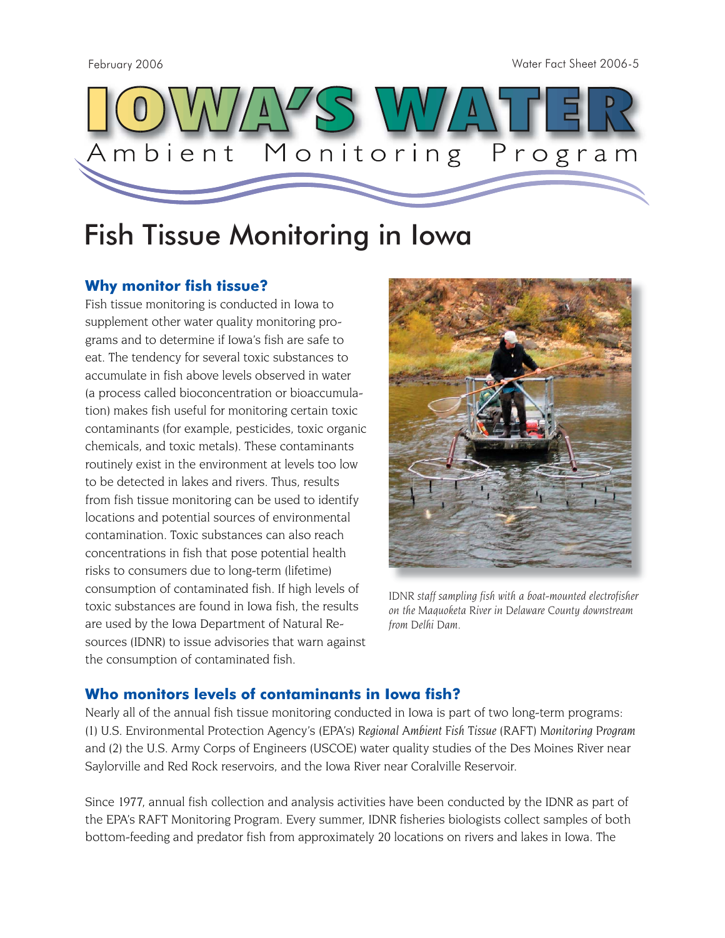February 2006 Water Fact Sheet 2006-5



# Fish Tissue Monitoring in Iowa

## **Why monitor fish tissue?**

Fish tissue monitoring is conducted in Iowa to supplement other water quality monitoring programs and to determine if Iowa's fish are safe to eat. The tendency for several toxic substances to accumulate in fish above levels observed in water (a process called bioconcentration or bioaccumulation) makes fish useful for monitoring certain toxic contaminants (for example, pesticides, toxic organic chemicals, and toxic metals). These contaminants routinely exist in the environment at levels too low to be detected in lakes and rivers. Thus, results from fish tissue monitoring can be used to identify locations and potential sources of environmental contamination. Toxic substances can also reach concentrations in fish that pose potential health risks to consumers due to long-term (lifetime) consumption of contaminated fish. If high levels of toxic substances are found in Iowa fish, the results are used by the Iowa Department of Natural Resources (IDNR) to issue advisories that warn against the consumption of contaminated fish.



*IDNR staff sampling fish with a boat-mounted electrofisher on the Maquoketa River in Delaware County downstream from Delhi Dam.*

### **Who monitors levels of contaminants in Iowa fish?**

Nearly all of the annual fish tissue monitoring conducted in Iowa is part of two long-term programs: (1) U.S. Environmental Protection Agency's (EPA's) *Regional Ambient Fish Tissue (RAFT) Monitoring Program* and (2) the U.S. Army Corps of Engineers (USCOE) water quality studies of the Des Moines River near Saylorville and Red Rock reservoirs, and the Iowa River near Coralville Reservoir.

Since 1977, annual fish collection and analysis activities have been conducted by the IDNR as part of the EPA's RAFT Monitoring Program. Every summer, IDNR fisheries biologists collect samples of both bottom-feeding and predator fish from approximately 20 locations on rivers and lakes in Iowa. The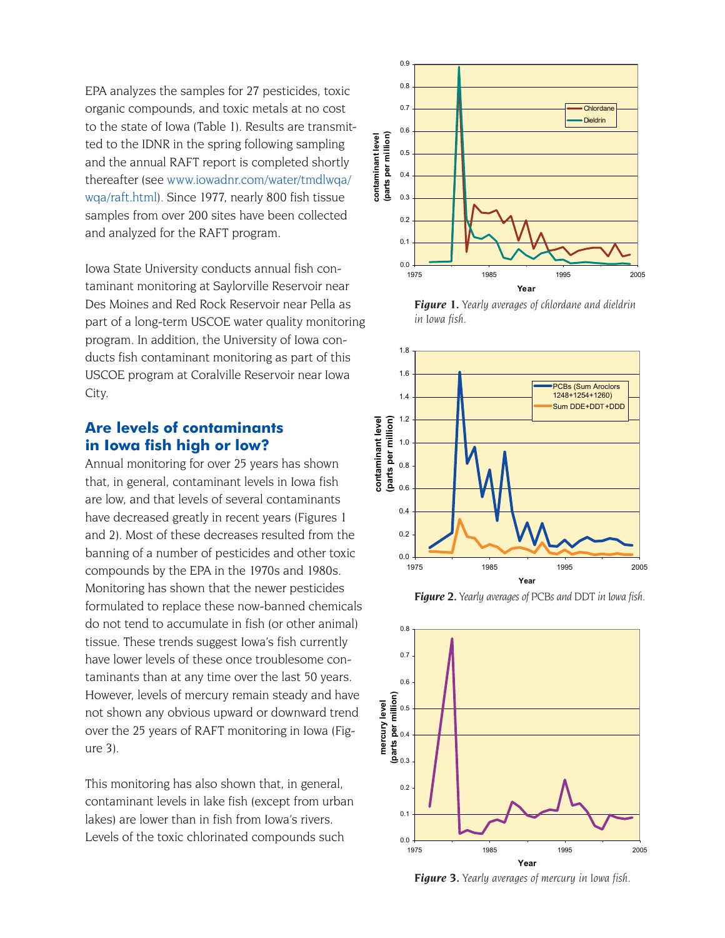EPA analyzes the samples for 27 pesticides, toxic organic compounds, and toxic metals at no cost to the state of Iowa (Table 1). Results are transmitted to the IDNR in the spring following sampling and the annual RAFT report is completed shortly thereafter (see www.iowadnr.com/water/tmdlwqa/ wqa/raft.html). Since 1977, nearly 800 fish tissue samples from over 200 sites have been collected and analyzed for the RAFT program.

Iowa State University conducts annual fish contaminant monitoring at Saylorville Reservoir near Des Moines and Red Rock Reservoir near Pella as part of a long-term USCOE water quality monitoring program. In addition, the University of Iowa conducts fish contaminant monitoring as part of this USCOE program at Coralville Reservoir near Iowa City.

#### **Are levels of contaminants in Iowa fish high or low?**

Annual monitoring for over 25 years has shown that, in general, contaminant levels in Iowa fish are low, and that levels of several contaminants have decreased greatly in recent years (Figures 1 and 2). Most of these decreases resulted from the banning of a number of pesticides and other toxic compounds by the EPA in the 1970s and 1980s. Monitoring has shown that the newer pesticides formulated to replace these now-banned chemicals do not tend to accumulate in fish (or other animal) tissue. These trends suggest Iowa's fish currently have lower levels of these once troublesome contaminants than at any time over the last 50 years. However, levels of mercury remain steady and have not shown any obvious upward or downward trend over the 25 years of RAFT monitoring in Iowa (Figure 3).

This monitoring has also shown that, in general, contaminant levels in lake fish (except from urban lakes) are lower than in fish from Iowa's rivers. Levels of the toxic chlorinated compounds such  $\overline{0.0}$ .



*Figure 1. Yearly averages of chlordane and dieldrin in Iowa fish.*



*Figure 2. Yearly averages of PCBs and DDT in Iowa fish.*



*Figure 3. Yearly averages of mercury in Iowa fish.*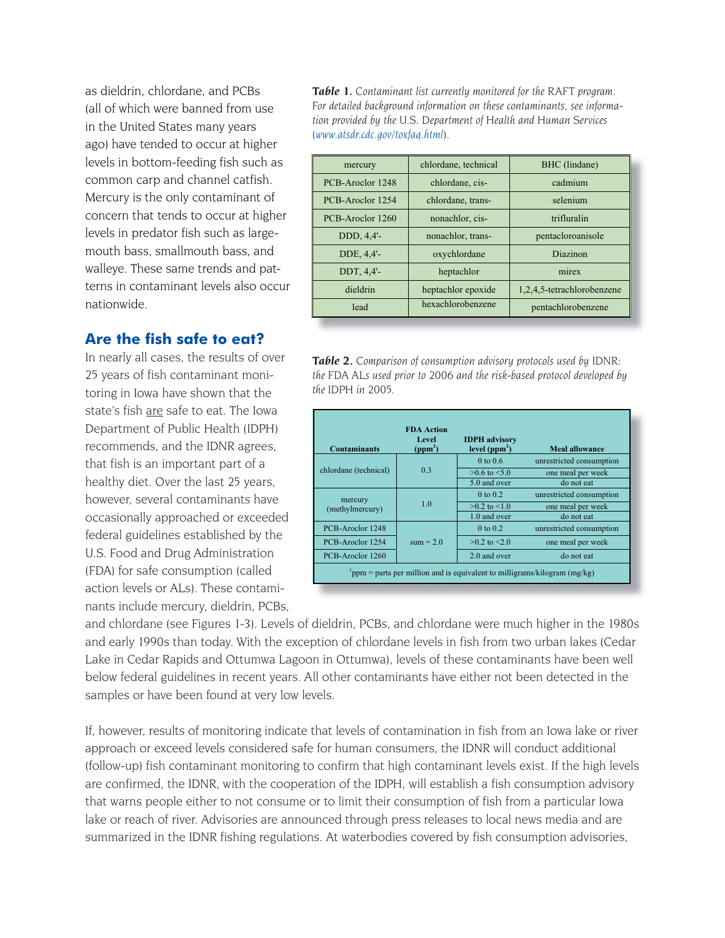as dieldrin, chlordane, and PCBs (all of which were banned from use in the United States many years ago) have tended to occur at higher levels in bottom-feeding fish such as common carp and channel catfish. Mercury is the only contaminant of concern that tends to occur at higher levels in predator fish such as largemouth bass, smallmouth bass, and walleye. These same trends and patterns in contaminant levels also occur nationwide.

#### **Are the fish safe to eat?**

In nearly all cases, the results of over 25 years of fish contaminant monitoring in Iowa have shown that the state's fish are safe to eat. The Iowa Department of Public Health (IDPH) recommends, and the IDNR agrees, that fish is an important part of a healthy diet. Over the last 25 years, however, several contaminants have occasionally approached or exceeded federal guidelines established by the U.S. Food and Drug Administration (FDA) for safe consumption (called action levels or ALs). These contaminants include mercury, dieldrin, PCBs,

*Table 1. Contaminant list currently monitored for the RAFT program. For detailed background information on these contaminants, see information provided by the U.S. Department of Health and Human Services (www.atsdr.cdc.gov/toxfaq.html).* 

| mercury          | chlordane, technical           | BHC (lindane)              |  |
|------------------|--------------------------------|----------------------------|--|
| PCB-Aroclor 1248 | cadmium<br>chlordane, cis-     |                            |  |
| PCB-Aroclor 1254 | selenium<br>chlordane, trans-  |                            |  |
| PCB-Aroclor 1260 | nonachlor, cis-<br>trifluralin |                            |  |
| DDD, 4,4'-       | nonachlor, trans-              | pentacloroanisole          |  |
| DDE, 4,4'-       | oxychlordane                   | Diazinon                   |  |
| DDT, 4,4'-       | heptachlor                     | mirex                      |  |
| dieldrin         | heptachlor epoxide             | 1,2,4,5-tetrachlorobenzene |  |
| lead             | hexachlorobenzene              | pentachlorobenzene         |  |
|                  |                                |                            |  |

*Table 2. Comparison of consumption advisory protocols used by IDNR: the FDA ALs used prior to 2006 and the risk-based protocol developed by the IDPH in 2005.*

| <b>Contaminants</b>                                                        | <b>FDA</b> Action<br><b>Level</b><br>(ppm <sup>1</sup> ) | <b>IDPH</b> advisory<br>level $(ppm1)$ | <b>Meal allowance</b>    |
|----------------------------------------------------------------------------|----------------------------------------------------------|----------------------------------------|--------------------------|
| chlordane (technical)                                                      | 0.3                                                      | $0 \text{ to } 0.6$                    | unrestricted consumption |
|                                                                            |                                                          | $>0.6$ to $< 5.0$                      | one meal per week        |
|                                                                            |                                                          | 5.0 and over                           | do not eat               |
| mercury<br>(methylmercury)                                                 | 1.0                                                      | $0 \text{ to } 0.2$                    | unrestricted consumption |
|                                                                            |                                                          | $>0.2$ to $< 1.0$                      | one meal per week        |
|                                                                            |                                                          | 1.0 and over                           | do not eat               |
| PCB-Aroclor 1248                                                           | $sum = 2.0$                                              | $0 \text{ to } 0.2$                    | unrestricted consumption |
| PCB-Aroclor 1254                                                           |                                                          | $>0.2$ to $< 2.0$                      | one meal per week        |
| PCB-Aroclor 1260                                                           |                                                          | 2.0 and over                           | do not eat               |
| ppm = parts per million and is equivalent to milligrams/kilogram $(mg/kg)$ |                                                          |                                        |                          |

and chlordane (see Figures 1-3). Levels of dieldrin, PCBs, and chlordane were much higher in the 1980s and early 1990s than today. With the exception of chlordane levels in fish from two urban lakes (Cedar Lake in Cedar Rapids and Ottumwa Lagoon in Ottumwa), levels of these contaminants have been well below federal guidelines in recent years. All other contaminants have either not been detected in the samples or have been found at very low levels.

If, however, results of monitoring indicate that levels of contamination in fish from an Iowa lake or river approach or exceed levels considered safe for human consumers, the IDNR will conduct additional (follow-up) fish contaminant monitoring to confirm that high contaminant levels exist. If the high levels are confirmed, the IDNR, with the cooperation of the IDPH, will establish a fish consumption advisory that warns people either to not consume or to limit their consumption of fish from a particular Iowa lake or reach of river. Advisories are announced through press releases to local news media and are summarized in the IDNR fishing regulations. At waterbodies covered by fish consumption advisories,